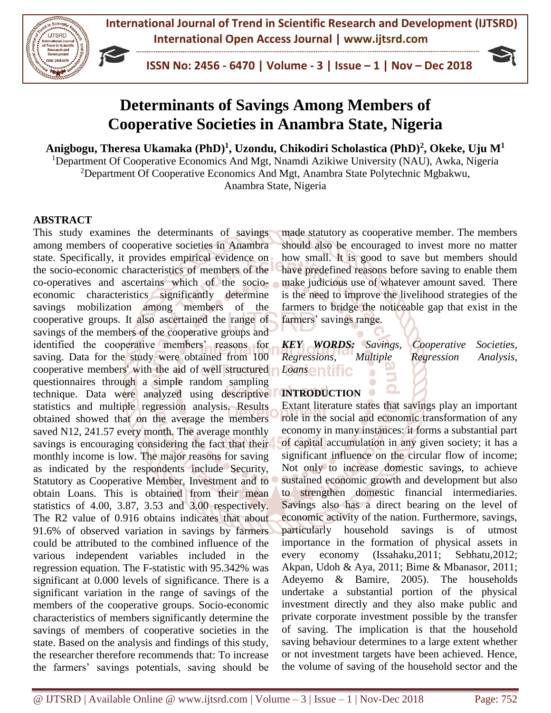

 **ISSN No: 2456 - 6470 | Volume - 3 | Issue – 1 | Nov – Dec 2018**



# **Determinants of Savings Among Members of Cooperative Societies in Anambra State, Nigeria**

**Anigbogu, Theresa Ukamaka (PhD) 1 , Uzondu, Chikodiri Scholastica (PhD) 2 , Okeke, Uju M<sup>1</sup>**

<sup>1</sup>Department Of Cooperative Economics And Mgt, Nnamdi Azikiwe University (NAU), Awka, Nigeria <sup>2</sup>Department Of Cooperative Economics And Mgt, Anambra State Polytechnic Mgbakwu,

Anambra State, Nigeria

# **ABSTRACT**

This study examines the determinants of savings among members of cooperative societies in Anambra state. Specifically, it provides empirical evidence on the socio-economic characteristics of members of the co-operatives and ascertains which of the socioeconomic characteristics significantly determine savings mobilization among members of the cooperative groups. It also ascertained the range of savings of the members of the cooperative groups and identified the cooperative members' reasons for saving. Data for the study were obtained from 100 cooperative members' with the aid of well structured questionnaires through a simple random sampling technique. Data were analyzed using descriptive statistics and multiple regression analysis. Results obtained showed that on the average the members saved N12, 241.57 every month. The average monthly savings is encouraging considering the fact that their monthly income is low. The major reasons for saving as indicated by the respondents include Security, Statutory as Cooperative Member, Investment and to obtain Loans. This is obtained from their mean statistics of 4.00, 3.87, 3.53 and 3.00 respectively. The R2 value of 0.916 obtains indicates that about 91.6% of observed variation in savings by farmers could be attributed to the combined influence of the various independent variables included in the regression equation. The F-statistic with 95.342% was significant at 0.000 levels of significance. There is a significant variation in the range of savings of the members of the cooperative groups. Socio-economic characteristics of members significantly determine the savings of members of cooperative societies in the state. Based on the analysis and findings of this study, the researcher therefore recommends that: To increase the farmers' savings potentials, saving should be

made statutory as cooperative member. The members should also be encouraged to invest more no matter how small. It is good to save but members should have predefined reasons before saving to enable them make judicious use of whatever amount saved. There is the need to improve the livelihood strategies of the farmers to bridge the noticeable gap that exist in the farmers' savings range.

*KEY WORDS: Savings, Cooperative Societies, Regressions, Multiple Regression Analysis, Loans* a

# **INTRODUCTION**

Extant literature states that savings play an important role in the social and economic transformation of any economy in many instances: it forms a substantial part of capital accumulation in any given society; it has a significant influence on the circular flow of income; Not only to increase domestic savings, to achieve sustained economic growth and development but also to strengthen domestic financial intermediaries. Savings also has a direct bearing on the level of economic activity of the nation. Furthermore, savings, particularly household savings is of utmost importance in the formation of physical assets in every economy (Issahaku,2011; Sebhatu,2012; Akpan, Udoh & Aya, 2011; Bime & Mbanasor, 2011; Adeyemo & Bamire, 2005). The households undertake a substantial portion of the physical investment directly and they also make public and private corporate investment possible by the transfer of saving. The implication is that the household saving behaviour determines to a large extent whether or not investment targets have been achieved. Hence, the volume of saving of the household sector and the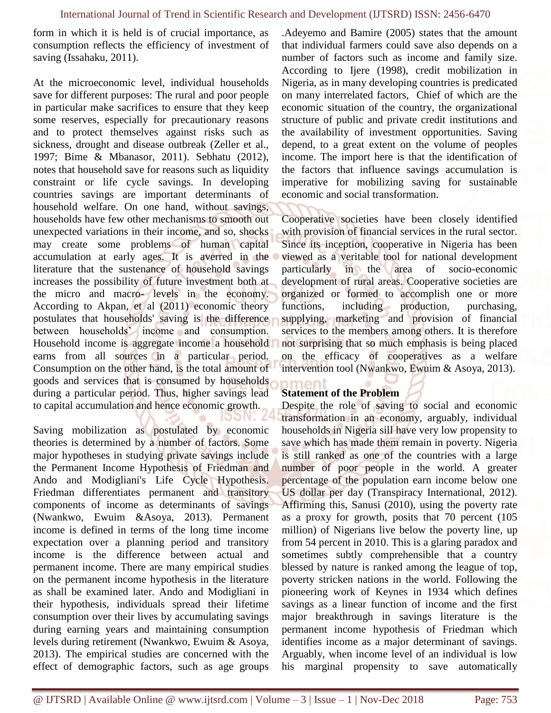form in which it is held is of crucial importance, as consumption reflects the efficiency of investment of saving (Issahaku, 2011).

At the microeconomic level, individual households save for different purposes: The rural and poor people in particular make sacrifices to ensure that they keep some reserves, especially for precautionary reasons and to protect themselves against risks such as sickness, drought and disease outbreak (Zeller et al., 1997; Bime & Mbanasor, 2011). Sebhatu (2012), notes that household save for reasons such as liquidity constraint or life cycle savings. In developing countries savings are important determinants of household welfare. On one hand, without savings, households have few other mechanisms to smooth out unexpected variations in their income, and so, shocks may create some problems of human capital accumulation at early ages. It is averred in the literature that the sustenance of household savings increases the possibility of future investment both at the micro and macro- levels in the economy. According to Akpan, et al (2011) economic theory postulates that households' saving is the difference between households' income and consumption. Household income is aggregate income a household earns from all sources in a particular period. Consumption on the other hand, is the total amount of goods and services that is consumed by households during a particular period. Thus, higher savings lead to capital accumulation and hence economic growth.

Saving mobilization as postulated by economic theories is determined by a number of factors. Some major hypotheses in studying private savings include the Permanent Income Hypothesis of Friedman and Ando and Modigliani's Life Cycle Hypothesis. Friedman differentiates permanent and transitory components of income as determinants of savings (Nwankwo, Ewuim &Asoya, 2013). Permanent income is defined in terms of the long time income expectation over a planning period and transitory income is the difference between actual and permanent income. There are many empirical studies on the permanent income hypothesis in the literature as shall be examined later. Ando and Modigliani in their hypothesis, individuals spread their lifetime consumption over their lives by accumulating savings during earning years and maintaining consumption levels during retirement (Nwankwo, Ewuim & Asoya, 2013). The empirical studies are concerned with the effect of demographic factors, such as age groups

.Adeyemo and Bamire (2005) states that the amount that individual farmers could save also depends on a number of factors such as income and family size. According to Ijere (1998), credit mobilization in Nigeria, as in many developing countries is predicated on many interrelated factors, Chief of which are the economic situation of the country, the organizational structure of public and private credit institutions and the availability of investment opportunities. Saving depend, to a great extent on the volume of peoples income. The import here is that the identification of the factors that influence savings accumulation is imperative for mobilizing saving for sustainable economic and social transformation.

Cooperative societies have been closely identified with provision of financial services in the rural sector. Since its inception, cooperative in Nigeria has been viewed as a veritable tool for national development particularly in the area of socio-economic development of rural areas. Cooperative societies are organized or formed to accomplish one or more functions, including production, purchasing, supplying, marketing and provision of financial services to the members among others. It is therefore not surprising that so much emphasis is being placed on the efficacy of cooperatives as a welfare intervention tool (Nwankwo, Ewuim & Asoya, 2013).

#### **Statement of the Problem**

neni

Despite the role of saving to social and economic transformation in an economy, arguably, individual households in Nigeria sill have very low propensity to save which has made them remain in poverty. Nigeria is still ranked as one of the countries with a large number of poor people in the world. A greater percentage of the population earn income below one US dollar per day (Transpiracy International, 2012). Affirming this, Sanusi (2010), using the poverty rate as a proxy for growth, posits that 70 percent (105 million) of Nigerians live below the poverty line, up from 54 percent in 2010. This is a glaring paradox and sometimes subtly comprehensible that a country blessed by nature is ranked among the league of top, poverty stricken nations in the world. Following the pioneering work of Keynes in 1934 which defines savings as a linear function of income and the first major breakthrough in savings literature is the permanent income hypothesis of Friedman which identifies income as a major determinant of savings. Arguably, when income level of an individual is low his marginal propensity to save automatically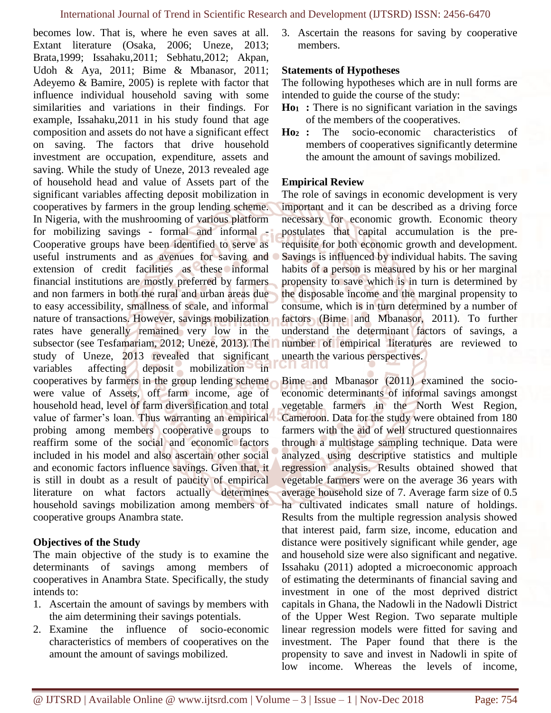becomes low. That is, where he even saves at all. Extant literature (Osaka, 2006; Uneze, 2013; Brata,1999; Issahaku,2011; Sebhatu,2012; Akpan, Udoh & Aya, 2011; Bime & Mbanasor, 2011; Adeyemo & Bamire, 2005) is replete with factor that influence individual household saving with some similarities and variations in their findings. For example, Issahaku,2011 in his study found that age composition and assets do not have a significant effect on saving. The factors that drive household investment are occupation, expenditure, assets and saving. While the study of Uneze, 2013 revealed age of household head and value of Assets part of the significant variables affecting deposit mobilization in cooperatives by farmers in the group lending scheme. In Nigeria, with the mushrooming of various platform for mobilizing savings - formal and informal - Cooperative groups have been identified to serve as useful instruments and as avenues for saving and extension of credit facilities as these informal financial institutions are mostly preferred by farmers and non farmers in both the rural and urban areas due to easy accessibility, smallness of scale, and informal nature of transactions. However, savings mobilization rates have generally remained very low in the subsector (see Tesfamariam, 2012; Uneze, 2013). The study of Uneze, 2013 revealed that significant variables affecting deposit mobilization in cooperatives by farmers in the group lending scheme were value of Assets, off farm income, age of household head, level of farm diversification and total value of farmer's loan. Thus warranting an empirical probing among members cooperative groups to reaffirm some of the social and economic factors included in his model and also ascertain other social and economic factors influence savings. Given that, it is still in doubt as a result of paucity of empirical literature on what factors actually determines household savings mobilization among members of cooperative groups Anambra state.

# **Objectives of the Study**

The main objective of the study is to examine the determinants of savings among members of cooperatives in Anambra State. Specifically, the study intends to:

- 1. Ascertain the amount of savings by members with the aim determining their savings potentials.
- 2. Examine the influence of socio-economic characteristics of members of cooperatives on the amount the amount of savings mobilized.

3. Ascertain the reasons for saving by cooperative members.

#### **Statements of Hypotheses**

The following hypotheses which are in null forms are intended to guide the course of the study:

- **Ho<sup>1</sup> :** There is no significant variation in the savings of the members of the cooperatives.
- **Ho<sup>2</sup> :** The socio-economic characteristics of members of cooperatives significantly determine the amount the amount of savings mobilized.

#### **Empirical Review**

The role of savings in economic development is very important and it can be described as a driving force necessary for economic growth. Economic theory postulates that capital accumulation is the prerequisite for both economic growth and development. Savings is influenced by individual habits. The saving habits of a person is measured by his or her marginal propensity to save which is in turn is determined by the disposable income and the marginal propensity to consume, which is in turn determined by a number of factors (Bime and Mbanasor, 2011). To further understand the determinant factors of savings, a number of empirical literatures are reviewed to unearth the various perspectives.

Bime and Mbanasor (2011) examined the socioeconomic determinants of informal savings amongst vegetable farmers in the North West Region, Cameroon. Data for the study were obtained from 180 farmers with the aid of well structured questionnaires through a multistage sampling technique. Data were analyzed using descriptive statistics and multiple regression analysis. Results obtained showed that vegetable farmers were on the average 36 years with average household size of 7. Average farm size of 0.5 ha cultivated indicates small nature of holdings. Results from the multiple regression analysis showed that interest paid, farm size, income, education and distance were positively significant while gender, age and household size were also significant and negative. Issahaku (2011) adopted a microeconomic approach of estimating the determinants of financial saving and investment in one of the most deprived district capitals in Ghana, the Nadowli in the Nadowli District of the Upper West Region. Two separate multiple linear regression models were fitted for saving and investment. The Paper found that there is the propensity to save and invest in Nadowli in spite of low income. Whereas the levels of income,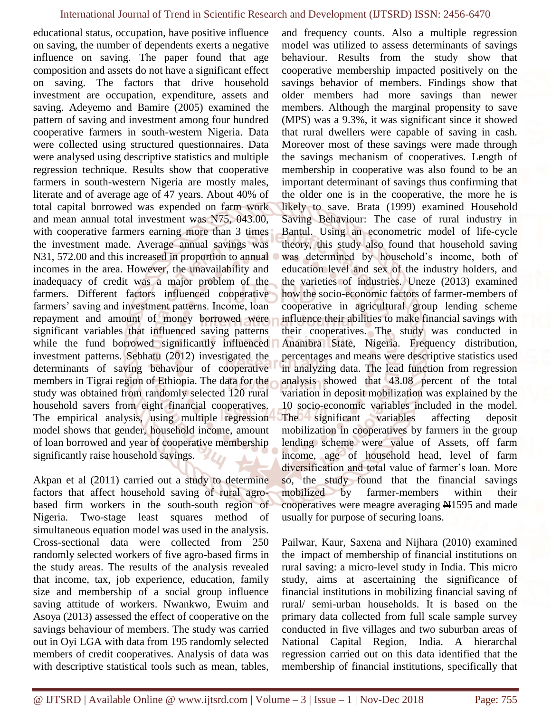educational status, occupation, have positive influence on saving, the number of dependents exerts a negative influence on saving. The paper found that age composition and assets do not have a significant effect on saving. The factors that drive household investment are occupation, expenditure, assets and saving. Adeyemo and Bamire (2005) examined the pattern of saving and investment among four hundred cooperative farmers in south-western Nigeria. Data were collected using structured questionnaires. Data were analysed using descriptive statistics and multiple regression technique. Results show that cooperative farmers in south-western Nigeria are mostly males, literate and of average age of 47 years. About 40% of total capital borrowed was expended on farm work and mean annual total investment was N75, 043.00, with cooperative farmers earning more than 3 times the investment made. Average annual savings was N31, 572.00 and this increased in proportion to annual incomes in the area. However, the unavailability and inadequacy of credit was a major problem of the farmers. Different factors influenced cooperative farmers' saving and investment patterns. Income, loan repayment and amount of money borrowed were significant variables that influenced saving patterns while the fund borrowed significantly influenced investment patterns. Sebhatu (2012) investigated the determinants of saving behaviour of cooperative members in Tigrai region of Ethiopia. The data for the study was obtained from randomly selected 120 rural household savers from eight financial cooperatives. The empirical analysis, using multiple regression model shows that gender, household income, amount of loan borrowed and year of cooperative membership significantly raise household savings.

Akpan et al (2011) carried out a study to determine factors that affect household saving of rural agrobased firm workers in the south-south region of Nigeria. Two-stage least squares method of simultaneous equation model was used in the analysis. Cross-sectional data were collected from 250 randomly selected workers of five agro-based firms in the study areas. The results of the analysis revealed that income, tax, job experience, education, family size and membership of a social group influence saving attitude of workers. Nwankwo, Ewuim and Asoya (2013) assessed the effect of cooperative on the savings behaviour of members. The study was carried out in Oyi LGA with data from 195 randomly selected members of credit cooperatives. Analysis of data was with descriptive statistical tools such as mean, tables,

and frequency counts. Also a multiple regression model was utilized to assess determinants of savings behaviour. Results from the study show that cooperative membership impacted positively on the savings behavior of members. Findings show that older members had more savings than newer members. Although the marginal propensity to save (MPS) was a 9.3%, it was significant since it showed that rural dwellers were capable of saving in cash. Moreover most of these savings were made through the savings mechanism of cooperatives. Length of membership in cooperative was also found to be an important determinant of savings thus confirming that the older one is in the cooperative, the more he is likely to save. Brata (1999) examined Household Saving Behaviour: The case of rural industry in Bantul. Using an econometric model of life-cycle theory, this study also found that household saving was determined by household's income, both of education level and sex of the industry holders, and the varieties of industries. Uneze (2013) examined how the socio-economic factors of farmer-members of cooperative in agricultural group lending scheme influence their abilities to make financial savings with their cooperatives. The study was conducted in Anambra State, Nigeria. Frequency distribution, percentages and means were descriptive statistics used in analyzing data. The lead function from regression analysis showed that 43.08 percent of the total variation in deposit mobilization was explained by the 10 socio-economic variables included in the model. The significant variables affecting deposit mobilization in cooperatives by farmers in the group lending scheme were value of Assets, off farm income, age of household head, level of farm diversification and total value of farmer's loan. More so, the study found that the financial savings mobilized by farmer-members within their cooperatives were meagre averaging N1595 and made usually for purpose of securing loans.

Pailwar, Kaur, Saxena and Nijhara (2010) examined the impact of membership of financial institutions on rural saving: a micro-level study in India. This micro study, aims at ascertaining the significance of financial institutions in mobilizing financial saving of rural/ semi-urban households. It is based on the primary data collected from full scale sample survey conducted in five villages and two suburban areas of National Capital Region, India. A hierarchal regression carried out on this data identified that the membership of financial institutions, specifically that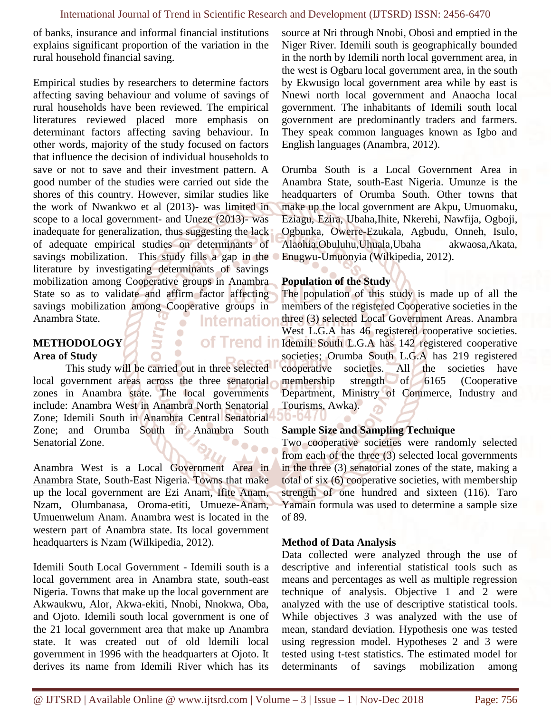of banks, insurance and informal financial institutions explains significant proportion of the variation in the rural household financial saving.

Empirical studies by researchers to determine factors affecting saving behaviour and volume of savings of rural households have been reviewed. The empirical literatures reviewed placed more emphasis on determinant factors affecting saving behaviour. In other words, majority of the study focused on factors that influence the decision of individual households to save or not to save and their investment pattern. A good number of the studies were carried out side the shores of this country. However, similar studies like the work of Nwankwo et al (2013)- was limited in scope to a local government- and Uneze (2013)- was inadequate for generalization, thus suggesting the lack of adequate empirical studies on determinants of savings mobilization. This study fills a gap in the literature by investigating determinants of savings mobilization among Cooperative groups in Anambra State so as to validate and affirm factor affecting savings mobilization among Cooperative groups in Anambra State. Internation

#### **METHODOLOGY Area of Study**

This study will be carried out in three selected local government areas across the three senatorial zones in Anambra state. The local governments include: Anambra West in Anambra North Senatorial Zone; Idemili South in Anambra Central Senatorial Zone; and Orumba South in Anambra South Senatorial Zone.  $• • •$ 

 $\blacksquare$ 

Anambra West is a Local Government Area in [Anambra](http://en.wikipedia.org/wiki/Anambra) State, South-East Nigeria. Towns that make up the local government are Ezi Anam, Ifite Anam, Nzam, Olumbanasa, Oroma-etiti, Umueze-Anam, Umuenwelum Anam. Anambra west is located in the western part of Anambra state. Its local government headquarters is Nzam (Wilkipedia, 2012).

Idemili South Local Government - Idemili south is a local government area in Anambra state, south-east Nigeria. Towns that make up the local government are Akwaukwu, Alor, Akwa-ekiti, Nnobi, Nnokwa, Oba, and Ojoto. Idemili south local government is one of the 21 local government area that make up Anambra state. It was created out of old ldemili local government in 1996 with the headquarters at Ojoto. It derives its name from Idemili River which has its

source at Nri through Nnobi, Obosi and emptied in the Niger River. Idemili south is geographically bounded in the north by Idemili north local government area, in the west is Ogbaru local government area, in the south by Ekwusigo local government area while by east is Nnewi north local government and Anaocha local government. The inhabitants of Idemili south local government are predominantly traders and farmers. They speak common languages known as Igbo and English languages (Anambra, 2012).

Orumba South is a Local Government Area in [Anambra](http://en.wikipedia.org/wiki/Anambra) State, south-East Nigeria. [Umunze](http://en.wikipedia.org/wiki/Umunze) is the headquarters of Orumba South. Other towns that make up the local government are Akpu, [Umuomaku,](http://en.wikipedia.org/wiki/Umuomaku) Eziagu, Ezira, [Ubaha,](http://en.wikipedia.org/w/index.php?title=Ubaha&action=edit&redlink=1)Ihite, Nkerehi, [Nawfija,](http://en.wikipedia.org/wiki/Nawfija) Ogboji, [Ogbunka,](http://en.wikipedia.org/wiki/Ogbunka) [Owerre-Ezukala,](http://en.wikipedia.org/w/index.php?title=Owerre-Ezukala&action=edit&redlink=1) Agbudu, Onneh, [Isulo,](http://en.wikipedia.org/w/index.php?title=Isulo&action=edit&redlink=1) Alaohia,Obuluhu,Uhuala,Ubaha akwaosa,Akata, Enugwu-Umuonyia (Wilkipedia, 2012).

#### **Population of the Study**

The population of this study is made up of all the members of the registered Cooperative societies in the three (3) selected Local Government Areas. Anambra West L.G.A has 46 registered cooperative societies. **Of Trend in Idemili South L.G.A has 142 registered cooperative** societies; Orumba South L.G.A has 219 registered cooperative societies. All the societies have membership strength of 6165 (Cooperative Department, Ministry of Commerce, Industry and Tourisms, Awka). 0-047

#### **Sample Size and Sampling Technique**

Two cooperative societies were randomly selected from each of the three (3) selected local governments in the three (3) senatorial zones of the state, making a total of six (6) cooperative societies, with membership strength of one hundred and sixteen (116). Taro Yamain formula was used to determine a sample size of 89.

#### **Method of Data Analysis**

Data collected were analyzed through the use of descriptive and inferential statistical tools such as means and percentages as well as multiple regression technique of analysis. Objective 1 and 2 were analyzed with the use of descriptive statistical tools. While objectives 3 was analyzed with the use of mean, standard deviation. Hypothesis one was tested using regression model. Hypotheses 2 and 3 were tested using t-test statistics. The estimated model for determinants of savings mobilization among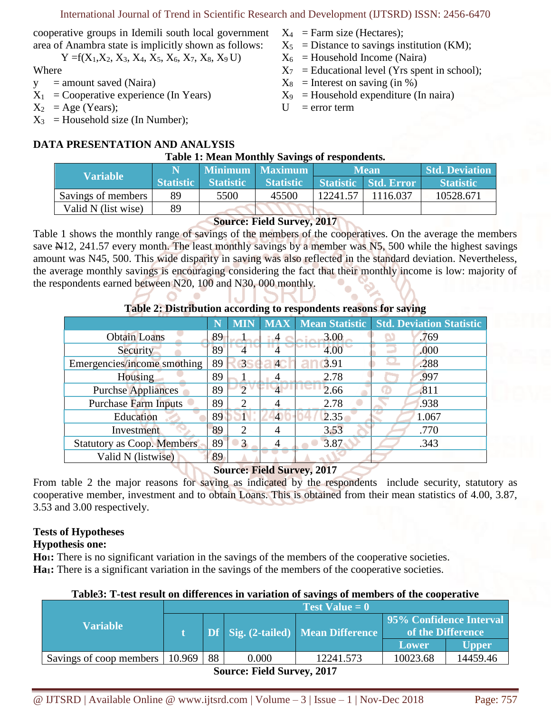cooperative groups in Idemili south local government area of Anambra state is implicitly shown as follows:

$$
Y = f(X_1, X_2, X_3, X_4, X_5, X_6, X_7, X_8, X_9 U)
$$

Where

- $y =$  amount saved (Naira)
- $X_1$  = Cooperative experience (In Years)
- $X_2 = Age (Years);$
- $X_3$  = Household size (In Number);
- $X_4$  = Farm size (Hectares);
- $X_5$  = Distance to savings institution (KM);
- $X_6$  = Household Income (Naira)
- $X_7$  = Educational level (Yrs spent in school);
- $X_8$  = Interest on saving (in %)
- $X_9$  = Household expenditure (In naira)
- $U = error term$

# **DATA PRESENTATION AND ANALYSIS**

#### **Table 1: Mean Monthly Savings of respondents.**

| <b>Variable</b>     |                  | Minimum   Maximum |                  |          | <b>Mean</b>          | <b>Std. Deviation</b> |  |
|---------------------|------------------|-------------------|------------------|----------|----------------------|-----------------------|--|
|                     | <b>Statistic</b> | <b>Statistic</b>  | <b>Statistic</b> |          | Statistic Std. Error | <b>Statistic</b>      |  |
| Savings of members  | 89               | 5500              | 45500            | 12241.57 | 116.037              | 10528.671             |  |
| Valid N (list wise) | 89               |                   |                  |          |                      |                       |  |

# **Source: Field Survey, 2017**

Table 1 shows the monthly range of savings of the members of the cooperatives. On the average the members save N12, 241.57 every month. The least monthly savings by a member was N5, 500 while the highest savings amount was N45, 500. This wide disparity in saving was also reflected in the standard deviation. Nevertheless, the average monthly savings is encouraging considering the fact that their monthly income is low: majority of the respondents earned between N20, 100 and N30, 000 monthly.

|                                   |    | <b>MIN</b> |                | <b>MAX</b>   Mean Statistic | <b>Std. Deviation Statistic</b> |
|-----------------------------------|----|------------|----------------|-----------------------------|---------------------------------|
| <b>Obtain Loans</b>               | 89 |            |                | 3.00                        | .769                            |
| Security                          | 89 |            |                | 4.00                        | .000                            |
| Emergencies/income smothing       | 89 | 3          | $\overline{4}$ | 3.91                        | .288                            |
| <b>Housing</b>                    | 89 |            |                | 2.78                        | .997                            |
| <b>Purchse Appliances</b>         | 89 |            |                | 2.66                        | .811                            |
| <b>Purchase Farm Inputs</b>       | 89 | 2          | 4              | 2.78                        | .938                            |
| Education                         | 89 |            | 4              | 2.35                        | 1.067                           |
| Investment                        | 89 | 2          |                | 3.53                        | .770                            |
| <b>Statutory as Coop. Members</b> | 89 | 3          |                | 3.87                        | .343                            |
| Valid N (listwise)                | 89 |            |                |                             |                                 |

### **Table 2: Distribution according to respondents reasons for saving**

# **Source: Field Survey, 2017**

From table 2 the major reasons for saving as indicated by the respondents include security, statutory as cooperative member, investment and to obtain Loans. This is obtained from their mean statistics of 4.00, 3.87, 3.53 and 3.00 respectively.

# **Tests of Hypotheses**

# **Hypothesis one:**

**Ho1:** There is no significant variation in the savings of the members of the cooperative societies. **Ha<sub>1</sub>**: There is a significant variation in the savings of the members of the cooperative societies.

# **Table3: T-test result on differences in variation of savings of members of the cooperative**

| <b>Variable</b>                   | <b>Test Value = 0</b> |    |       |                                           |                                              |          |  |  |
|-----------------------------------|-----------------------|----|-------|-------------------------------------------|----------------------------------------------|----------|--|--|
|                                   |                       |    |       | <b>Df</b> Sig. (2-tailed) Mean Difference | 95% Confidence Interval<br>of the Difference |          |  |  |
|                                   |                       |    |       |                                           | Lower                                        | Upper    |  |  |
| Savings of coop members   10.969  |                       | 88 | 0.000 | 12241.573                                 | 10023.68                                     | 14459.46 |  |  |
| <b>Source: Field Survey, 2017</b> |                       |    |       |                                           |                                              |          |  |  |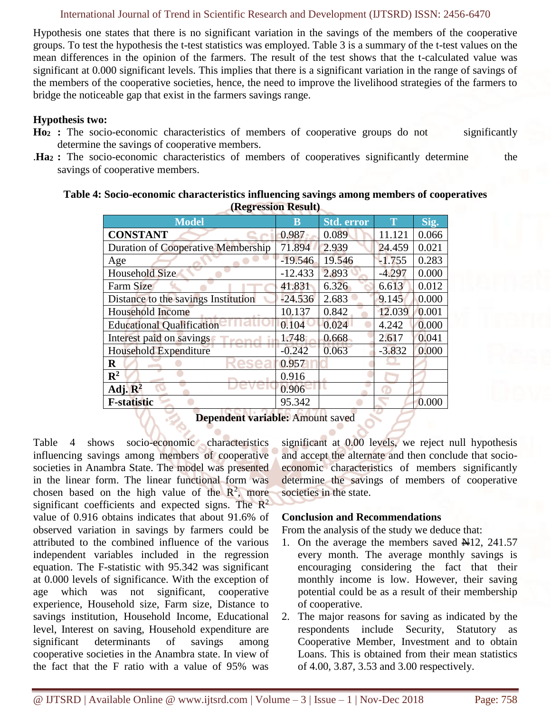#### International Journal of Trend in Scientific Research and Development (IJTSRD) ISSN: 2456-6470

Hypothesis one states that there is no significant variation in the savings of the members of the cooperative groups. To test the hypothesis the t-test statistics was employed. Table 3 is a summary of the t-test values on the mean differences in the opinion of the farmers. The result of the test shows that the t-calculated value was significant at 0.000 significant levels. This implies that there is a significant variation in the range of savings of the members of the cooperative societies, hence, the need to improve the livelihood strategies of the farmers to bridge the noticeable gap that exist in the farmers savings range.

#### **Hypothesis two:**

- **Ho<sup>2</sup> :** The socio-economic characteristics of members of cooperative groups do not significantly determine the savings of cooperative members.
- .**Ha<sup>2</sup> :** The socio-economic characteristics of members of cooperatives significantly determine the savings of cooperative members.

| Table 4: Socio-economic characteristics influencing savings among members of cooperatives |
|-------------------------------------------------------------------------------------------|
| <b>(Regression Result)</b>                                                                |

| (INCEL COOLUMN ANGULI)                    |           |                   |             |       |  |  |  |  |  |
|-------------------------------------------|-----------|-------------------|-------------|-------|--|--|--|--|--|
| <b>Model</b>                              | B         | <b>Std. error</b> | $\mathbf T$ | Sig.  |  |  |  |  |  |
| <b>CONSTANT</b>                           | 0.987     | 0.089             | 11.121      | 0.066 |  |  |  |  |  |
| <b>Duration of Cooperative Membership</b> | 71.894    | 2.939             | 24.459      | 0.021 |  |  |  |  |  |
| Age                                       | $-19.546$ | 19.546            | $-1.755$    | 0.283 |  |  |  |  |  |
| Household Size                            | $-12.433$ | 2.893             | $-4.297$    | 0.000 |  |  |  |  |  |
| <b>Farm Size</b>                          | 41.831    | 6.326             | 6.613       | 0.012 |  |  |  |  |  |
| Distance to the savings Institution       | $-24.536$ | 2.683             | 9.145       | 0.000 |  |  |  |  |  |
| <b>Household Income</b>                   | 10.137    | 0.842             | 12.039      | 0.001 |  |  |  |  |  |
| <b>Educational Qualification</b>          | 0.104     | 0.024             | 4.242       | 0.000 |  |  |  |  |  |
| Interest paid on savings                  | 1.748     | 0.668             | 2.617       | 0.041 |  |  |  |  |  |
| Household Expenditure                     | $-0.242$  | 0.063             | $-3.832$    | 0.000 |  |  |  |  |  |
| $\bf R$                                   | 0.957     |                   |             |       |  |  |  |  |  |
| $\mathbb{R}^2$                            | 0.916     |                   |             |       |  |  |  |  |  |
| Adj. $\mathbb{R}^2$                       | 0.906     |                   |             |       |  |  |  |  |  |
| <b>F-statistic</b>                        | 95.342    |                   |             | 0.000 |  |  |  |  |  |
|                                           |           |                   |             |       |  |  |  |  |  |

**Dependent variable:** Amount saved

Table 4 shows socio-economic characteristics influencing savings among members of cooperative societies in Anambra State. The model was presented in the linear form. The linear functional form was chosen based on the high value of the  $\mathbb{R}^2$ , more significant coefficients and expected signs. The  $\mathbb{R}^2$ value of 0.916 obtains indicates that about 91.6% of observed variation in savings by farmers could be attributed to the combined influence of the various independent variables included in the regression equation. The F-statistic with 95.342 was significant at 0.000 levels of significance. With the exception of age which was not significant, cooperative experience, Household size, Farm size, Distance to savings institution, Household Income, Educational level, Interest on saving, Household expenditure are significant determinants of savings among cooperative societies in the Anambra state. In view of the fact that the F ratio with a value of 95% was

significant at 0.00 levels, we reject null hypothesis and accept the alternate and then conclude that socioeconomic characteristics of members significantly determine the savings of members of cooperative societies in the state.

#### **Conclusion and Recommendations**

From the analysis of the study we deduce that:

- 1. On the average the members saved  $\mathbb{N}12$ , 241.57 every month. The average monthly savings is encouraging considering the fact that their monthly income is low. However, their saving potential could be as a result of their membership of cooperative.
- 2. The major reasons for saving as indicated by the respondents include Security, Statutory as Cooperative Member, Investment and to obtain Loans. This is obtained from their mean statistics of 4.00, 3.87, 3.53 and 3.00 respectively.